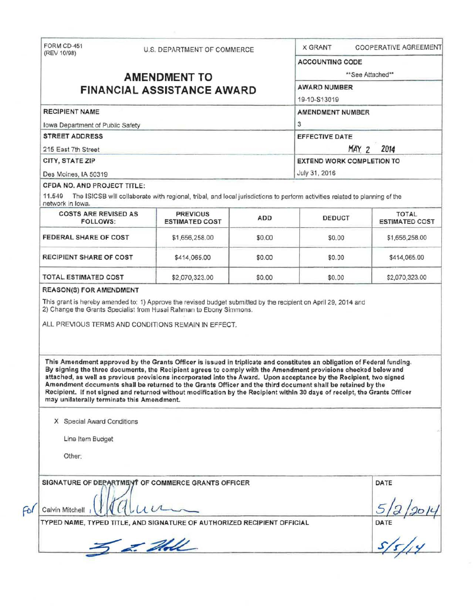| (REV 10/98)                                     |  | U.S. DEPARTMENT OF COMMERCE                                                                                                                                                                                                                                                                                                                                                                                                                                                                                                                                                                                 |        | <b>COOPERATIVE AGREEMENT</b><br><b>X GRANT</b> |                       |  |
|-------------------------------------------------|--|-------------------------------------------------------------------------------------------------------------------------------------------------------------------------------------------------------------------------------------------------------------------------------------------------------------------------------------------------------------------------------------------------------------------------------------------------------------------------------------------------------------------------------------------------------------------------------------------------------------|--------|------------------------------------------------|-----------------------|--|
|                                                 |  |                                                                                                                                                                                                                                                                                                                                                                                                                                                                                                                                                                                                             |        | <b>ACCOUNTING CODE</b>                         |                       |  |
|                                                 |  | <b>AMENDMENT TO</b>                                                                                                                                                                                                                                                                                                                                                                                                                                                                                                                                                                                         |        | **See Attached**                               |                       |  |
|                                                 |  | <b>FINANCIAL ASSISTANCE AWARD</b>                                                                                                                                                                                                                                                                                                                                                                                                                                                                                                                                                                           |        | <b>AWARD NUMBER</b>                            |                       |  |
|                                                 |  |                                                                                                                                                                                                                                                                                                                                                                                                                                                                                                                                                                                                             |        | 19-10-S13019                                   |                       |  |
| <b>RECIPIENT NAME</b>                           |  |                                                                                                                                                                                                                                                                                                                                                                                                                                                                                                                                                                                                             |        | AMENDMENT NUMBER                               |                       |  |
| Iowa Department of Public Safety                |  |                                                                                                                                                                                                                                                                                                                                                                                                                                                                                                                                                                                                             |        | 3                                              |                       |  |
| <b>STREET ADDRESS</b>                           |  |                                                                                                                                                                                                                                                                                                                                                                                                                                                                                                                                                                                                             |        | EFFECTIVE DATE                                 |                       |  |
| 215 East 7th Street                             |  |                                                                                                                                                                                                                                                                                                                                                                                                                                                                                                                                                                                                             |        | MAY 2<br>2014                                  |                       |  |
| CITY, STATE ZIP                                 |  |                                                                                                                                                                                                                                                                                                                                                                                                                                                                                                                                                                                                             |        | <b>EXTEND WORK COMPLETION TO</b>               |                       |  |
| Des Moines, IA 50319                            |  |                                                                                                                                                                                                                                                                                                                                                                                                                                                                                                                                                                                                             |        | July 31, 2016                                  |                       |  |
| CFDA NO. AND PROJECT TITLE:                     |  |                                                                                                                                                                                                                                                                                                                                                                                                                                                                                                                                                                                                             |        |                                                |                       |  |
|                                                 |  | 11.549 The ISICSB will collaborate with regional, tribal, and local jurisdictions to perform activities related to planning of the                                                                                                                                                                                                                                                                                                                                                                                                                                                                          |        |                                                |                       |  |
| network in Iowa.<br><b>COSTS ARE REVISED AS</b> |  | <b>PREVIOUS</b>                                                                                                                                                                                                                                                                                                                                                                                                                                                                                                                                                                                             |        |                                                | <b>TOTAL</b>          |  |
| <b>FOLLOWS:</b>                                 |  | <b>ESTIMATED COST</b>                                                                                                                                                                                                                                                                                                                                                                                                                                                                                                                                                                                       | ADD    | DEDUCT                                         | <b>ESTIMATED COST</b> |  |
| FEDERAL SHARE OF COST                           |  | \$1,656,258.00                                                                                                                                                                                                                                                                                                                                                                                                                                                                                                                                                                                              | \$0.00 | \$0.00                                         | \$1,656,258.00        |  |
| <b>RECIPIENT SHARE OF COST</b>                  |  | \$414,065.00                                                                                                                                                                                                                                                                                                                                                                                                                                                                                                                                                                                                | \$0.00 | \$0.00                                         | \$414,065.00          |  |
| <b>TOTAL ESTIMATED COST</b>                     |  |                                                                                                                                                                                                                                                                                                                                                                                                                                                                                                                                                                                                             |        | \$0.00                                         |                       |  |
|                                                 |  | \$2,070,323.00                                                                                                                                                                                                                                                                                                                                                                                                                                                                                                                                                                                              | \$0.00 |                                                |                       |  |
|                                                 |  | This grant is hereby amended to: 1) Approve the revised budget submitted by the recipient on April 29, 2014 and<br>2) Change the Grants Specialist from Husai Rahman to Ebony Simmons.<br>ALL PREVIOUS TERMS AND CONDITIONS REMAIN IN EFFECT.                                                                                                                                                                                                                                                                                                                                                               |        |                                                | \$2,070,323.00        |  |
| may unilaterally terminate this Amendment.      |  | This Amendment approved by the Grants Officer is issued in triplicate and constitutes an obligation of Federal funding.<br>By signing the three documents, the Recipient agrees to comply with the Amendment provisions checked below and<br>attached, as well as previous provisions incorporated into the Award. Upon acceptance by the Recipient, two signed<br>Amendment documents shall be returned to the Grants Officer and the third document shall be retained by the<br>Recipient. If not signed and returned without modification by the Recipient within 30 days of receipt, the Grants Officer |        |                                                |                       |  |
| X Special Award Conditions                      |  |                                                                                                                                                                                                                                                                                                                                                                                                                                                                                                                                                                                                             |        |                                                |                       |  |
| Line Item Budget                                |  |                                                                                                                                                                                                                                                                                                                                                                                                                                                                                                                                                                                                             |        |                                                |                       |  |
| <b>REASON(S) FOR AMENDMENT</b>                  |  |                                                                                                                                                                                                                                                                                                                                                                                                                                                                                                                                                                                                             |        |                                                |                       |  |
| Other:                                          |  |                                                                                                                                                                                                                                                                                                                                                                                                                                                                                                                                                                                                             |        |                                                |                       |  |
|                                                 |  |                                                                                                                                                                                                                                                                                                                                                                                                                                                                                                                                                                                                             |        |                                                |                       |  |
|                                                 |  | SIGNATURE OF DEPARTMENT OF COMMERCE GRANTS OFFICER                                                                                                                                                                                                                                                                                                                                                                                                                                                                                                                                                          |        |                                                | DATE                  |  |
| Calvin Mitchell                                 |  |                                                                                                                                                                                                                                                                                                                                                                                                                                                                                                                                                                                                             |        |                                                |                       |  |
|                                                 |  | TYPED NAME, TYPED TITLE, AND SIGNATURE OF AUTHORIZED RECIPIENT OFFICIAL                                                                                                                                                                                                                                                                                                                                                                                                                                                                                                                                     |        |                                                |                       |  |
|                                                 |  | Z. Holl                                                                                                                                                                                                                                                                                                                                                                                                                                                                                                                                                                                                     |        |                                                | $\overline{DATE}$     |  |